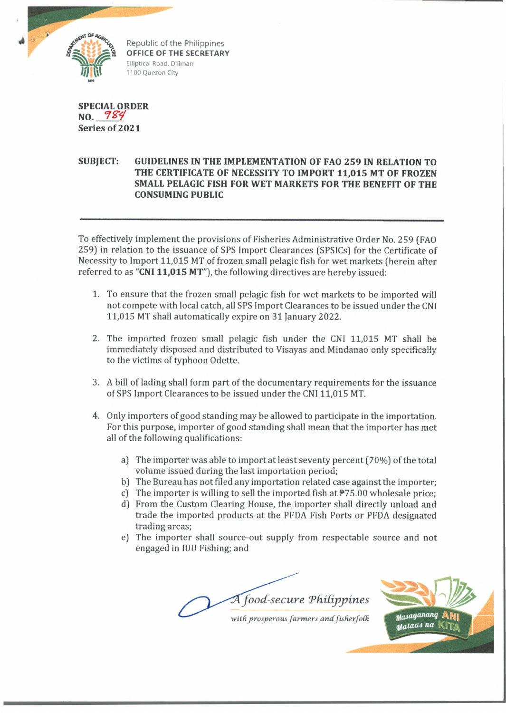

Republic of the Philippines **OFFICE OF THE SECRETARY** Elliptical Road, Diliman 1100 Quezon City

**SPECIAL ORDER NO.** *° !X 4* **Series of 2021**

## **SUBJECT: GUIDELINES IN THE IMPLEMENTATION OF FAO 259 IN RELATION TO THE CERTIFICATE OF NECESSITY TO IMPORT 11,015 MT OF FROZEN SMALL PELAGIC FISH FOR WET MARKETS FOR THE BENEFIT OF THE CONSUMING PUBLIC**

To effectively implement the provisions of Fisheries Administrative Order No. 259 (FAO 259) in relation to the issuance of SPS Import Clearances (SPSICs) for the Certificate of Necessity to Import 11,015 MT of frozen small pelagic fish for wet markets (herein after referred to as **"CNI 11,015 MT"),** the following directives are hereby issued:

- 1. To ensure that the frozen small pelagic fish for wet markets to be imported will not compete with local catch, all SPS Import Clearances to be issued under the CNI 11,015 MT shall automatically expire on 31 January 2022.
- 2. The imported frozen small pelagic fish under the CNI 11,015 MT shall be immediately disposed and distributed to Visayas and Mindanao only specifically to the victims of typhoon Odette.
- 3. A bill of lading shall form part of the documentary requirements for the issuance of SPS Import Clearances to be issued under the CNI 11,015 MT.
- 4. Only importers of good standing may be allowed to participate in the importation. For this purpose, importer of good standing shall mean that the importer has met all of the following qualifications:
	- a) The importer was able to import at least seventy percent (70%) of the total volume issued during the last importation period;
	- b) The Bureau has not filed any importation related case against the importer;
	- c) The importer is willing to sell the imported fish at  $\overline{P}$ 75.00 wholesale price;
	- d) From the Custom Clearing House, the importer shall directly unload and trade the imported products at the PFDA Fish Ports or PFDA designated trading areas;
	- e) The importer shall source-out supply from respectable source and not engaged in IUU Fishing; and

*food-secure Tfiifipjyines* with prosperous farmers and fisherfolk

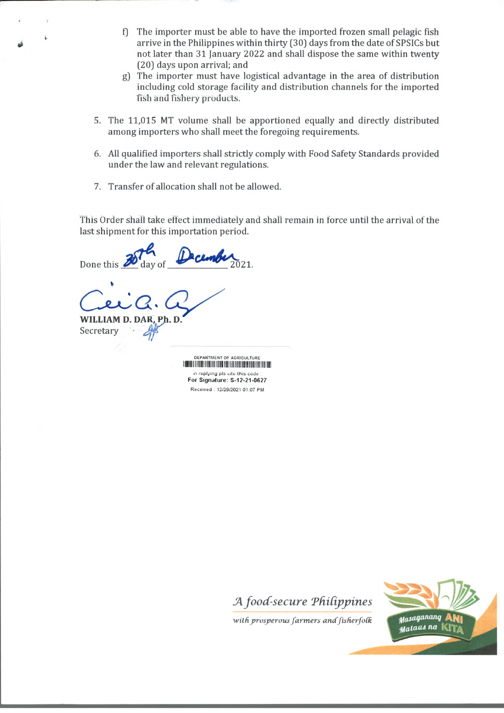- f) The importer must be able to have the imported frozen small pelagic fish arrive in the Philippines within thirty (30) days from the date of SPSICs but not later than 31 January 2022 and shall dispose the same within twenty (20) days upon arrival; and
- g) The importer must have logistical advantage in the area of distribution including cold storage facility and distribution channels for the imported fish and fishery products.
- 5. The 11,015 MT volume shall be apportioned equally and directly distributed among importers who shall meet the foregoing requirements.
- 6. All qualified importers shall strictly comply with Food Safety Standards provided under the law and relevant regulations.
- 7. Transfer of allocation shall not be allowed.

This Order shall take effect immediately and shall remain in force until the arrival of the last shipment for this importation period.

Done this day of

**WILLIAM D. DA** Secretary

> DEPARTMENT OF AGRICULTURE !III1IIIII!!!III!!I!IIIIII!II!I!II!IIII!1II1I!!II!!IIIIII! in replying pis ate this code : For Signature: S-12-21-0627 Received . 12/29/2021 01:07 PM



Masaganang with prosperous farmers and fisherfolk m<sub>ataas na</sub>